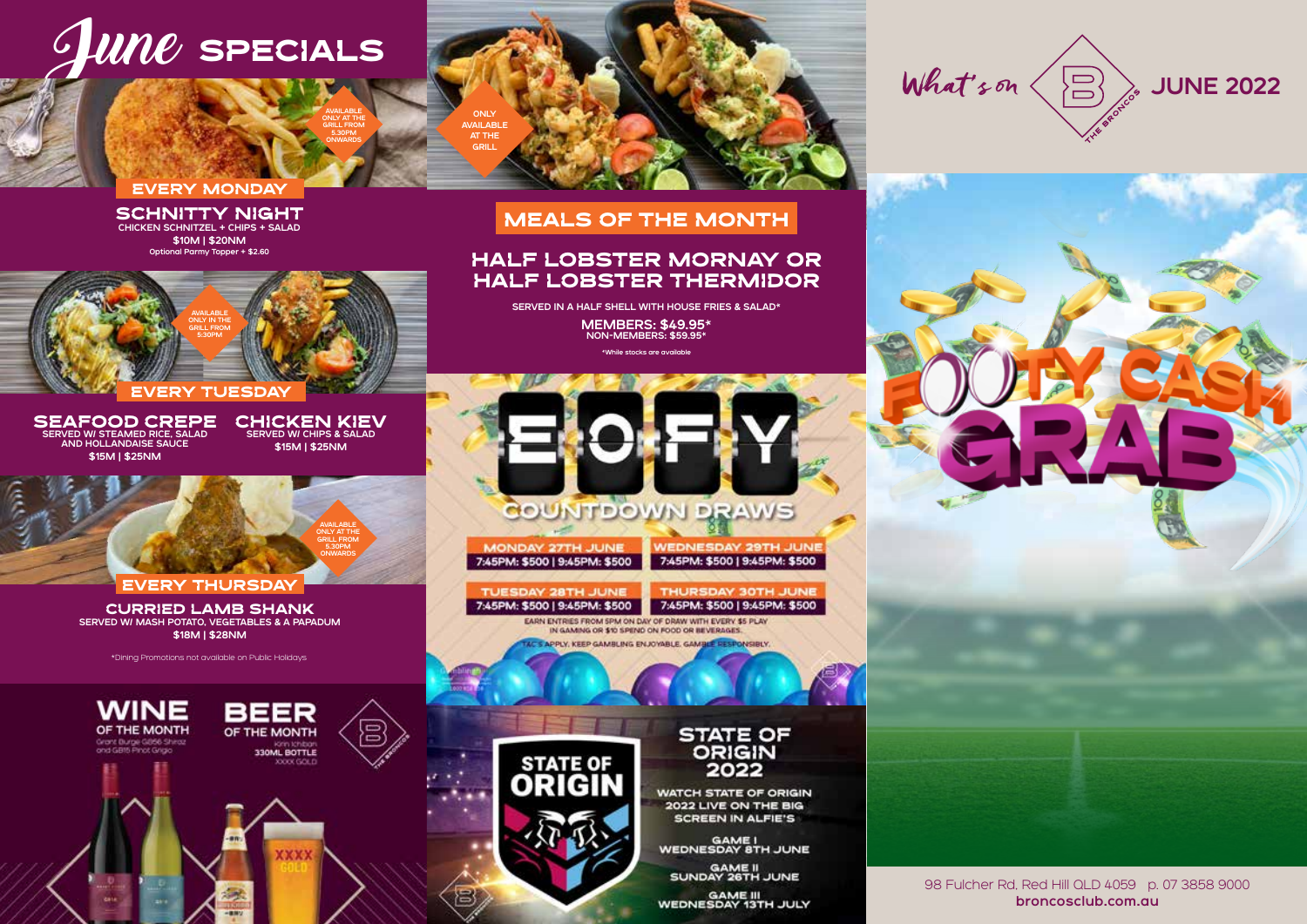## $\mathcal{I}$ wn $\mathcal C$  specials

#### EVERY MONDAY

SCHNITTY NIGHT CHICKEN SCHNITZEL + CHIPS + SALAD \$10M | \$20NM Optional Parmy Topper + \$2.60



SEAFOOD CREPE SERVED W/ STEAMED RICE, SALAD AND HOLLANDAISE SAUCE \$15M | \$25NM

CHICKEN KIEV<br>SERVED W/ CHIPS & SALAD \$15M | \$25NM

AVAILABLE ONLY AT THE GRILL FROM 5.30PM ONWARDS



EVERY THURSDAY

CURRIED LAMB SHANK SERVED W/ MASH POTATO, VEGETABLES & A PAPADUM \$18M | \$28NM

\*Dining Promotions not available on Public Holidays







#### HALF LOBSTER MORNAY OR HALF LOBSTER THERMIDOR

SERVED IN A HALF SHELL WITH HOUSE FRIES & SALAD\* MEMBERS: \$49.95\* NON-MEMBERS: \$59.95\*

#### \*While stocks are available



**MONDAY 27TH JUNE** 7:45PM: \$500 | 9:45PM: \$500 **WEDNESDAY 29TH JUNE** 7:45PM: \$500 | 9:45PM: \$500

TUESDAY 28TH JUNE 7:45PM: \$500 | 9:45PM: \$500

THURSDAY 30TH JUNE 7:45PM: \$500 | 9:45PM: \$500

EARN ENTRIES FROM SPM ON DAY OF DRAW WITH EVERY \$5 PLAY IN GAMING OR \$10 SPEND ON FOOD OR BEVERAGES. C'S APPLY, KEEP GAMBLING ENJOYABLE, GAMBLE RESPONSIBLY,



STATE OF<br>ORIGIN 2022

**WATCH STATE OF ORIGIN** 2022 LIVE ON THE BIG **SCREEN IN ALFIE'S** 

GAME I<br>WEDNESDAY 8TH JUNE

GAME II<br>SUNDAY 26TH JUNE

GAME III<br>WEDNESDAY 13TH JULY

What's on  $\langle \Xi \rangle$  wine 2022

**Contact State** 

98 Fulcher Rd, Red Hill QLD 4059 p. 07 3858 9000 broncosclub.com.au